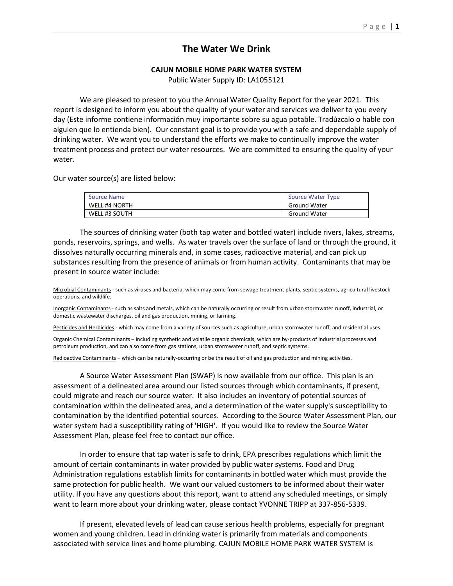## **The Water We Drink**

## **CAJUN MOBILE HOME PARK WATER SYSTEM**

Public Water Supply ID: LA1055121

We are pleased to present to you the Annual Water Quality Report for the year 2021. This report is designed to inform you about the quality of your water and services we deliver to you every day (Este informe contiene información muy importante sobre su agua potable. Tradúzcalo o hable con alguien que lo entienda bien). Our constant goal is to provide you with a safe and dependable supply of drinking water. We want you to understand the efforts we make to continually improve the water treatment process and protect our water resources. We are committed to ensuring the quality of your water.

Our water source(s) are listed below:

| Source Name          | Source Water Type   |
|----------------------|---------------------|
| <b>WELL #4 NORTH</b> | <b>Ground Water</b> |
| WELL #3 SOUTH        | <b>Ground Water</b> |

The sources of drinking water (both tap water and bottled water) include rivers, lakes, streams, ponds, reservoirs, springs, and wells. As water travels over the surface of land or through the ground, it dissolves naturally occurring minerals and, in some cases, radioactive material, and can pick up substances resulting from the presence of animals or from human activity. Contaminants that may be present in source water include:

Microbial Contaminants - such as viruses and bacteria, which may come from sewage treatment plants, septic systems, agricultural livestock operations, and wildlife.

Inorganic Contaminants - such as salts and metals, which can be naturally occurring or result from urban stormwater runoff, industrial, or domestic wastewater discharges, oil and gas production, mining, or farming.

Pesticides and Herbicides - which may come from a variety of sources such as agriculture, urban stormwater runoff, and residential uses.

Organic Chemical Contaminants – including synthetic and volatile organic chemicals, which are by-products of industrial processes and petroleum production, and can also come from gas stations, urban stormwater runoff, and septic systems.

Radioactive Contaminants – which can be naturally-occurring or be the result of oil and gas production and mining activities.

A Source Water Assessment Plan (SWAP) is now available from our office. This plan is an assessment of a delineated area around our listed sources through which contaminants, if present, could migrate and reach our source water. It also includes an inventory of potential sources of contamination within the delineated area, and a determination of the water supply's susceptibility to contamination by the identified potential sources. According to the Source Water Assessment Plan, our water system had a susceptibility rating of 'HIGH'. If you would like to review the Source Water Assessment Plan, please feel free to contact our office.

In order to ensure that tap water is safe to drink, EPA prescribes regulations which limit the amount of certain contaminants in water provided by public water systems. Food and Drug Administration regulations establish limits for contaminants in bottled water which must provide the same protection for public health. We want our valued customers to be informed about their water utility. If you have any questions about this report, want to attend any scheduled meetings, or simply want to learn more about your drinking water, please contact YVONNE TRIPP at 337-856-5339.

If present, elevated levels of lead can cause serious health problems, especially for pregnant women and young children. Lead in drinking water is primarily from materials and components associated with service lines and home plumbing. CAJUN MOBILE HOME PARK WATER SYSTEM is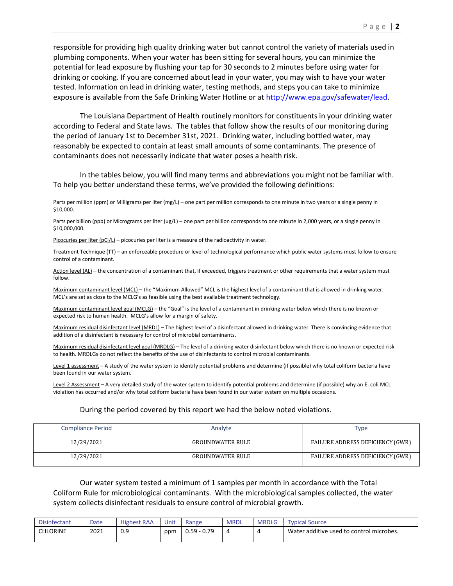responsible for providing high quality drinking water but cannot control the variety of materials used in plumbing components. When your water has been sitting for several hours, you can minimize the potential for lead exposure by flushing your tap for 30 seconds to 2 minutes before using water for drinking or cooking. If you are concerned about lead in your water, you may wish to have your water tested. Information on lead in drinking water, testing methods, and steps you can take to minimize exposure is available from the Safe Drinking Water Hotline or a[t http://www.epa.gov/safewater/lead.](http://www.epa.gov/safewater/lead)

The Louisiana Department of Health routinely monitors for constituents in your drinking water according to Federal and State laws. The tables that follow show the results of our monitoring during the period of January 1st to December 31st, 2021. Drinking water, including bottled water, may reasonably be expected to contain at least small amounts of some contaminants. The presence of contaminants does not necessarily indicate that water poses a health risk.

In the tables below, you will find many terms and abbreviations you might not be familiar with. To help you better understand these terms, we've provided the following definitions:

Parts per million (ppm) or Milligrams per liter (mg/L) – one part per million corresponds to one minute in two years or a single penny in \$10,000.

Parts per billion (ppb) or Micrograms per liter (ug/L) – one part per billion corresponds to one minute in 2,000 years, or a single penny in \$10,000,000.

Picocuries per liter (pCi/L) - picocuries per liter is a measure of the radioactivity in water.

Treatment Technique (TT) – an enforceable procedure or level of technological performance which public water systems must follow to ensure control of a contaminant.

Action level (AL) - the concentration of a contaminant that, if exceeded, triggers treatment or other requirements that a water system must follow.

Maximum contaminant level (MCL) – the "Maximum Allowed" MCL is the highest level of a contaminant that is allowed in drinking water. MCL's are set as close to the MCLG's as feasible using the best available treatment technology.

Maximum contaminant level goal (MCLG) – the "Goal" is the level of a contaminant in drinking water below which there is no known or expected risk to human health. MCLG's allow for a margin of safety.

Maximum residual disinfectant level (MRDL) – The highest level of a disinfectant allowed in drinking water. There is convincing evidence that addition of a disinfectant is necessary for control of microbial contaminants.

Maximum residual disinfectant level goal (MRDLG) – The level of a drinking water disinfectant below which there is no known or expected risk to health. MRDLGs do not reflect the benefits of the use of disinfectants to control microbial contaminants.

Level 1 assessment – A study of the water system to identify potential problems and determine (if possible) why total coliform bacteria have been found in our water system.

Level 2 Assessment – A very detailed study of the water system to identify potential problems and determine (if possible) why an E. coli MCL violation has occurred and/or why total coliform bacteria have been found in our water system on multiple occasions.

## During the period covered by this report we had the below noted violations.

| <b>Compliance Period</b> | Analyte                 | Type                             |
|--------------------------|-------------------------|----------------------------------|
| 12/29/2021               | <b>GROUNDWATER RULE</b> | FAILURE ADDRESS DEFICIENCY (GWR) |
| 12/29/2021               | <b>GROUNDWATER RULE</b> | FAILURE ADDRESS DEFICIENCY (GWR) |

Our water system tested a minimum of 1 samples per month in accordance with the Total Coliform Rule for microbiological contaminants. With the microbiological samples collected, the water system collects disinfectant residuals to ensure control of microbial growth.

| <b>Disinfectant</b> | Date | <b>Highest RAA</b> | Unit | Range         | <b>MRDL</b> | <b>MRDLG</b> | <b>Typical Source</b>                    |
|---------------------|------|--------------------|------|---------------|-------------|--------------|------------------------------------------|
| <b>CHLORINE</b>     | 2021 | 0.9                | ppm  | $0.59 - 0.79$ | Д           | 4            | Water additive used to control microbes. |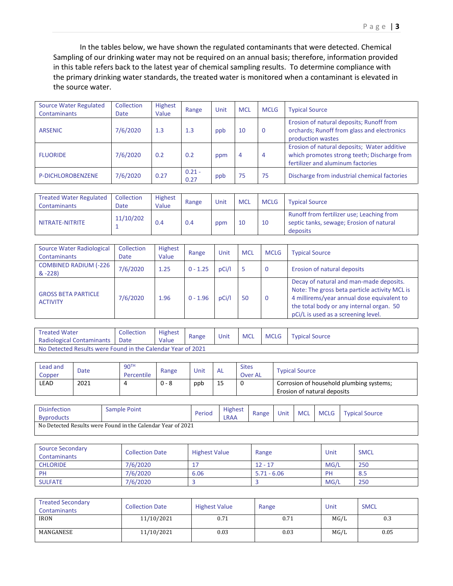In the tables below, we have shown the regulated contaminants that were detected. Chemical Sampling of our drinking water may not be required on an annual basis; therefore, information provided in this table refers back to the latest year of chemical sampling results. To determine compliance with the primary drinking water standards, the treated water is monitored when a contaminant is elevated in the source water.

| <b>Source Water Regulated</b><br><b>Contaminants</b> | Collection<br>Date | Highest<br>Value | Range            | Unit | <b>MCL</b> | <b>MCLG</b> | <b>Typical Source</b>                                                                                                           |
|------------------------------------------------------|--------------------|------------------|------------------|------|------------|-------------|---------------------------------------------------------------------------------------------------------------------------------|
| <b>ARSENIC</b>                                       | 7/6/2020           | 1.3              | 1.3              | ppb  | 10         | 0           | Erosion of natural deposits; Runoff from<br>orchards; Runoff from glass and electronics<br>production wastes                    |
| <b>FLUORIDE</b>                                      | 7/6/2020           | 0.2              | 0.2              | ppm  | 4          | 4           | Erosion of natural deposits; Water additive<br>which promotes strong teeth; Discharge from<br>fertilizer and aluminum factories |
| P-DICHLOROBENZENE                                    | 7/6/2020           | 0.27             | $0.21 -$<br>0.27 | ppb  | 75         | 75          | Discharge from industrial chemical factories                                                                                    |

| <b>Treated Water Regulated</b><br><b>Contaminants</b> | Collection<br>Date | <b>Highest</b><br>Value | Range | Unit | <b>MCL</b> | MCLG | <b>Typical Source</b>                                                                             |
|-------------------------------------------------------|--------------------|-------------------------|-------|------|------------|------|---------------------------------------------------------------------------------------------------|
| NITRATE-NITRITE                                       | 11/10/202          | 0.4                     | 0.4   | ppm  | 10         | 10   | Runoff from fertilizer use; Leaching from<br>septic tanks, sewage; Erosion of natural<br>deposits |

| Source Water Radiological<br><b>Contaminants</b> | Collection<br><b>Date</b> | <b>Highest</b><br>Value | Range      | Unit  | <b>MCL</b> | <b>MCLG</b> | <b>Typical Source</b>                                                                                                                                                                                                     |  |  |
|--------------------------------------------------|---------------------------|-------------------------|------------|-------|------------|-------------|---------------------------------------------------------------------------------------------------------------------------------------------------------------------------------------------------------------------------|--|--|
| <b>COMBINED RADIUM (-226</b><br>$& -228$         | 7/6/2020                  | 1.25                    | $0 - 1.25$ | pCi/l |            | 0           | Erosion of natural deposits                                                                                                                                                                                               |  |  |
| <b>GROSS BETA PARTICLE</b><br><b>ACTIVITY</b>    | 7/6/2020                  | 1.96                    | $0 - 1.96$ | pCi/l | 50         | 0           | Decay of natural and man-made deposits.<br>Note: The gross beta particle activity MCL is<br>4 millirems/year annual dose equivalent to<br>the total body or any internal organ. 50<br>pCi/L is used as a screening level. |  |  |

| <b>Treated Water</b>                                        | Collection | <b>Highest</b> | Range | Unit | <b>MCL</b> | <b>MCLG</b> | <b>Typical Source</b> |
|-------------------------------------------------------------|------------|----------------|-------|------|------------|-------------|-----------------------|
| Radiological Contaminants                                   | Date       | Value          |       |      |            |             |                       |
| No Detected Results were Found in the Calendar Year of 2021 |            |                |       |      |            |             |                       |

| Lead and<br>Copper | Date | 90 <sup>TH</sup><br>Percentile | Range   | Unit | <b>AL</b> | <b>Sites</b><br><b>Over AL</b> | <b>Typical Source</b>                                                   |
|--------------------|------|--------------------------------|---------|------|-----------|--------------------------------|-------------------------------------------------------------------------|
| LEAD               | 2021 |                                | $0 - 8$ | ppb  | 15        | 0                              | Corrosion of household plumbing systems;<br>Erosion of natural deposits |

| <b>Disinfection</b><br><b>Byproducts</b> | Sample Point                                                | Period | <b>Highest</b><br>LRAA | Range | Unit | <b>MCL</b> | <b>MCLG</b> | <b>Typical Source</b> |
|------------------------------------------|-------------------------------------------------------------|--------|------------------------|-------|------|------------|-------------|-----------------------|
|                                          | No Detected Results were Found in the Calendar Year of 2021 |        |                        |       |      |            |             |                       |

| <b>Source Secondary</b><br>Contaminants | <b>Collection Date</b> | <b>Highest Value</b> | Range         | Unit | <b>SMCL</b> |
|-----------------------------------------|------------------------|----------------------|---------------|------|-------------|
| <b>CHLORIDE</b>                         | 7/6/2020               |                      | $12 - 17$     | MG/L | 250         |
| PH                                      | 7/6/2020               | 6.06                 | $5.71 - 6.06$ | PH   | 8.5         |
| <b>SULFATE</b>                          | 7/6/2020               |                      |               | MG/I | 250         |

| <b>Treated Secondary</b><br>Contaminants | <b>Collection Date</b> | <b>Highest Value</b> | Range | Unit | <b>SMCL</b> |
|------------------------------------------|------------------------|----------------------|-------|------|-------------|
| <b>IRON</b>                              | 11/10/2021             | 0.71                 | 0.71  | MG/L | 0.3         |
| MANGANESE                                | 11/10/2021             | 0.03                 | 0.03  | MG/L | 0.05        |